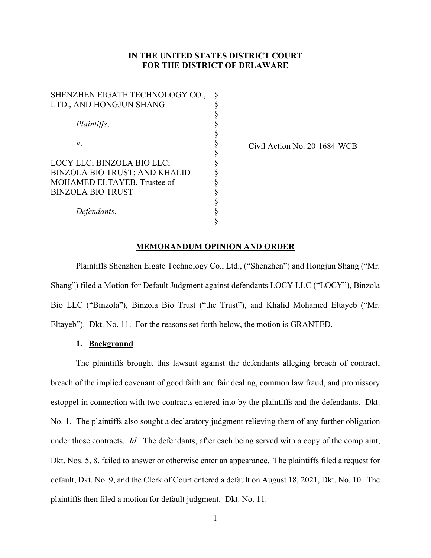# **IN THE UNITED STATES DISTRICT COURT FOR THE DISTRICT OF DELAWARE**

| SHENZHEN EIGATE TECHNOLOGY CO.,      | ş |
|--------------------------------------|---|
| LTD., AND HONGJUN SHANG              | § |
|                                      |   |
| Plaintiffs,                          | § |
|                                      | § |
| V.                                   | § |
|                                      | § |
| LOCY LLC; BINZOLA BIO LLC;           | § |
| <b>BINZOLA BIO TRUST; AND KHALID</b> | § |
| MOHAMED ELTAYEB, Trustee of          |   |
| <b>BINZOLA BIO TRUST</b>             | § |
|                                      | § |
| Defendants.                          |   |
|                                      |   |

Civil Action No. 20-1684-WCB

## **MEMORANDUM OPINION AND ORDER**

Plaintiffs Shenzhen Eigate Technology Co., Ltd., ("Shenzhen") and Hongjun Shang ("Mr. Shang") filed a Motion for Default Judgment against defendants LOCY LLC ("LOCY"), Binzola Bio LLC ("Binzola"), Binzola Bio Trust ("the Trust"), and Khalid Mohamed Eltayeb ("Mr. Eltayeb"). Dkt. No. 11. For the reasons set forth below, the motion is GRANTED.

## **1. Background**

The plaintiffs brought this lawsuit against the defendants alleging breach of contract, breach of the implied covenant of good faith and fair dealing, common law fraud, and promissory estoppel in connection with two contracts entered into by the plaintiffs and the defendants. Dkt. No. 1. The plaintiffs also sought a declaratory judgment relieving them of any further obligation under those contracts. *Id.* The defendants, after each being served with a copy of the complaint, Dkt. Nos. 5, 8, failed to answer or otherwise enter an appearance. The plaintiffs filed a request for default, Dkt. No. 9, and the Clerk of Court entered a default on August 18, 2021, Dkt. No. 10. The plaintiffs then filed a motion for default judgment. Dkt. No. 11.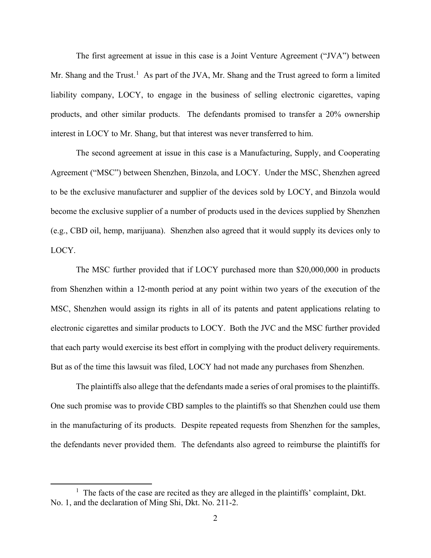The first agreement at issue in this case is a Joint Venture Agreement ("JVA") between Mr. Shang and the Trust.<sup>1</sup> As part of the JVA, Mr. Shang and the Trust agreed to form a limited liability company, LOCY, to engage in the business of selling electronic cigarettes, vaping products, and other similar products. The defendants promised to transfer a 20% ownership interest in LOCY to Mr. Shang, but that interest was never transferred to him.

The second agreement at issue in this case is a Manufacturing, Supply, and Cooperating Agreement ("MSC") between Shenzhen, Binzola, and LOCY. Under the MSC, Shenzhen agreed to be the exclusive manufacturer and supplier of the devices sold by LOCY, and Binzola would become the exclusive supplier of a number of products used in the devices supplied by Shenzhen (e.g., CBD oil, hemp, marijuana). Shenzhen also agreed that it would supply its devices only to LOCY.

The MSC further provided that if LOCY purchased more than \$20,000,000 in products from Shenzhen within a 12-month period at any point within two years of the execution of the MSC, Shenzhen would assign its rights in all of its patents and patent applications relating to electronic cigarettes and similar products to LOCY. Both the JVC and the MSC further provided that each party would exercise its best effort in complying with the product delivery requirements. But as of the time this lawsuit was filed, LOCY had not made any purchases from Shenzhen.

The plaintiffs also allege that the defendants made a series of oral promises to the plaintiffs. One such promise was to provide CBD samples to the plaintiffs so that Shenzhen could use them in the manufacturing of its products. Despite repeated requests from Shenzhen for the samples, the defendants never provided them. The defendants also agreed to reimburse the plaintiffs for

<sup>&</sup>lt;sup>1</sup> The facts of the case are recited as they are alleged in the plaintiffs' complaint, Dkt. No. 1, and the declaration of Ming Shi, Dkt. No. 211-2.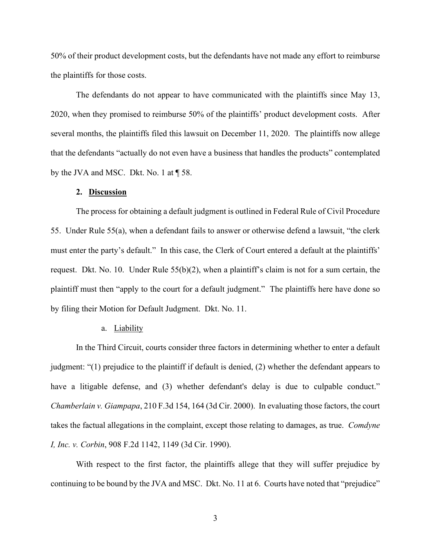50% of their product development costs, but the defendants have not made any effort to reimburse the plaintiffs for those costs.

The defendants do not appear to have communicated with the plaintiffs since May 13, 2020, when they promised to reimburse 50% of the plaintiffs' product development costs. After several months, the plaintiffs filed this lawsuit on December 11, 2020. The plaintiffs now allege that the defendants "actually do not even have a business that handles the products" contemplated by the JVA and MSC. Dkt. No. 1 at ¶ 58.

# **2. Discussion**

The process for obtaining a default judgment is outlined in Federal Rule of Civil Procedure 55. Under Rule 55(a), when a defendant fails to answer or otherwise defend a lawsuit, "the clerk must enter the party's default." In this case, the Clerk of Court entered a default at the plaintiffs' request. Dkt. No. 10. Under Rule  $55(b)(2)$ , when a plaintiff's claim is not for a sum certain, the plaintiff must then "apply to the court for a default judgment." The plaintiffs here have done so by filing their Motion for Default Judgment. Dkt. No. 11.

## a. Liability

In the Third Circuit, courts consider three factors in determining whether to enter a default judgment: "(1) prejudice to the plaintiff if default is denied, (2) whether the defendant appears to have a litigable defense, and (3) whether defendant's delay is due to culpable conduct." *Chamberlain v. Giampapa*, 210 F.3d 154, 164 (3d Cir. 2000). In evaluating those factors, the court takes the factual allegations in the complaint, except those relating to damages, as true. *Comdyne I, Inc. v. Corbin*, 908 F.2d 1142, 1149 (3d Cir. 1990).

With respect to the first factor, the plaintiffs allege that they will suffer prejudice by continuing to be bound by the JVA and MSC. Dkt. No. 11 at 6. Courts have noted that "prejudice"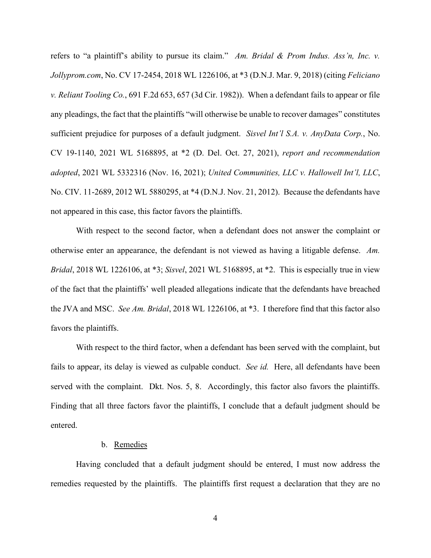refers to "a plaintiff's ability to pursue its claim." *Am. Bridal & Prom Indus. Ass'n, Inc. v. Jollyprom.com*, No. CV 17-2454, 2018 WL 1226106, at \*3 (D.N.J. Mar. 9, 2018) (citing *Feliciano v. Reliant Tooling Co.*, 691 F.2d 653, 657 (3d Cir. 1982)). When a defendant fails to appear or file any pleadings, the fact that the plaintiffs "will otherwise be unable to recover damages" constitutes sufficient prejudice for purposes of a default judgment. *Sisvel Int'l S.A. v. AnyData Corp.*, No. CV 19-1140, 2021 WL 5168895, at \*2 (D. Del. Oct. 27, 2021), *report and recommendation adopted*, 2021 WL 5332316 (Nov. 16, 2021); *United Communities, LLC v. Hallowell Int'l, LLC*, No. CIV. 11-2689, 2012 WL 5880295, at \*4 (D.N.J. Nov. 21, 2012). Because the defendants have not appeared in this case, this factor favors the plaintiffs.

With respect to the second factor, when a defendant does not answer the complaint or otherwise enter an appearance, the defendant is not viewed as having a litigable defense. *Am. Bridal*, 2018 WL 1226106, at \*3; *Sisvel*, 2021 WL 5168895, at \*2. This is especially true in view of the fact that the plaintiffs' well pleaded allegations indicate that the defendants have breached the JVA and MSC. *See Am. Bridal*, 2018 WL 1226106, at \*3. I therefore find that this factor also favors the plaintiffs.

With respect to the third factor, when a defendant has been served with the complaint, but fails to appear, its delay is viewed as culpable conduct. *See id.* Here, all defendants have been served with the complaint. Dkt. Nos. 5, 8. Accordingly, this factor also favors the plaintiffs. Finding that all three factors favor the plaintiffs, I conclude that a default judgment should be entered.

#### b. Remedies

Having concluded that a default judgment should be entered, I must now address the remedies requested by the plaintiffs. The plaintiffs first request a declaration that they are no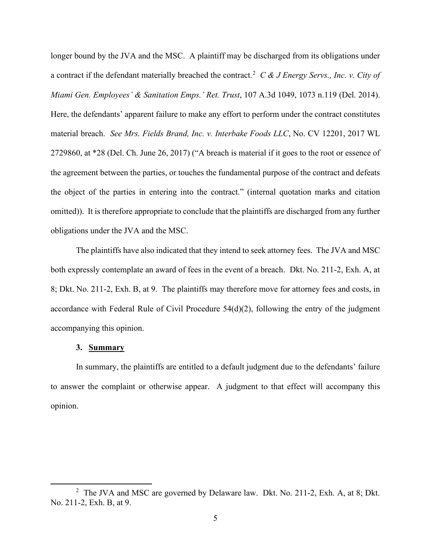longer bound by the JVA and the MSC. A plaintiff may be discharged from its obligations under a contract if the defendant materially breached the contract.<sup>2</sup> *C & J Energy Servs., Inc. v. City of Miami Gen. Employees' & Sanitation Emps.' Ret. Trust*, 107 A.3d 1049, 1073 n.119 (Del. 2014). Here, the defendants' apparent failure to make any effort to perform under the contract constitutes material breach. *See Mrs. Fields Brand, Inc. v. Interbake Foods LLC*, No. CV 12201, 2017 WL 2729860, at \*28 (Del. Ch. June 26, 2017) ("A breach is material if it goes to the root or essence of the agreement between the parties, or touches the fundamental purpose of the contract and defeats the object of the parties in entering into the contract." (internal quotation marks and citation omitted)). It is therefore appropriate to conclude that the plaintiffs are discharged from any further obligations under the JVA and the MSC.

The plaintiffs have also indicated that they intend to seek attorney fees. The JVA and MSC both expressly contemplate an award of fees in the event of a breach. Dkt. No. 211-2, Exh. A, at 8; Dkt. No. 211-2, Exh. B, at 9. The plaintiffs may therefore move for attorney fees and costs, in accordance with Federal Rule of Civil Procedure 54(d)(2), following the entry of the judgment accompanying this opinion.

## **3. Summary**

In summary, the plaintiffs are entitled to a default judgment due to the defendants' failure to answer the complaint or otherwise appear. A judgment to that effect will accompany this opinion.

<sup>&</sup>lt;sup>2</sup> The JVA and MSC are governed by Delaware law. Dkt. No. 211-2, Exh. A, at 8; Dkt. No. 211-2, Exh. B, at 9.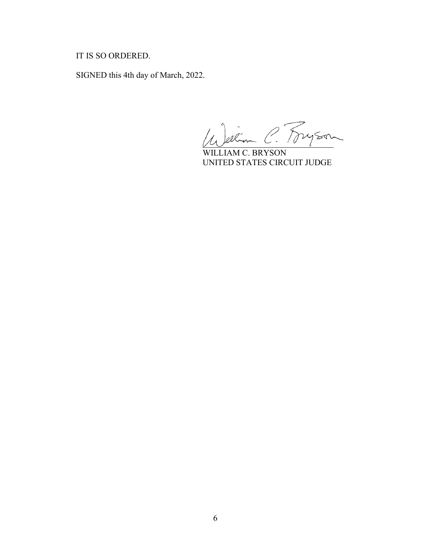# IT IS SO ORDERED.

SIGNED this 4th day of March, 2022.

Le Jeelin C. Fryson

WILLIAM C. BRYSON UNITED STATES CIRCUIT JUDGE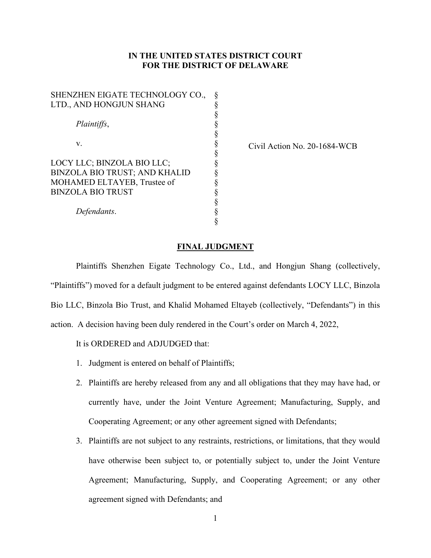# **IN THE UNITED STATES DISTRICT COURT FOR THE DISTRICT OF DELAWARE**

| SHENZHEN EIGATE TECHNOLOGY CO.,      | ş |
|--------------------------------------|---|
| LTD., AND HONGJUN SHANG              | § |
|                                      | § |
| Plaintiffs,                          | § |
|                                      | § |
| V.                                   | § |
|                                      | § |
| LOCY LLC; BINZOLA BIO LLC;           | ş |
| <b>BINZOLA BIO TRUST; AND KHALID</b> | § |
| MOHAMED ELTAYEB, Trustee of          | § |
| <b>BINZOLA BIO TRUST</b>             | ş |
|                                      | § |
| Defendants.                          | § |
|                                      |   |

Civil Action No. 20-1684-WCB

## **FINAL JUDGMENT**

Plaintiffs Shenzhen Eigate Technology Co., Ltd., and Hongjun Shang (collectively, "Plaintiffs") moved for a default judgment to be entered against defendants LOCY LLC, Binzola Bio LLC, Binzola Bio Trust, and Khalid Mohamed Eltayeb (collectively, "Defendants") in this action. A decision having been duly rendered in the Court's order on March 4, 2022,

It is ORDERED and ADJUDGED that:

- 1. Judgment is entered on behalf of Plaintiffs;
- 2. Plaintiffs are hereby released from any and all obligations that they may have had, or currently have, under the Joint Venture Agreement; Manufacturing, Supply, and Cooperating Agreement; or any other agreement signed with Defendants;
- 3. Plaintiffs are not subject to any restraints, restrictions, or limitations, that they would have otherwise been subject to, or potentially subject to, under the Joint Venture Agreement; Manufacturing, Supply, and Cooperating Agreement; or any other agreement signed with Defendants; and